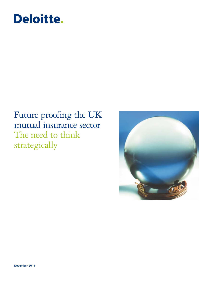# Deloitte.

# Future proofing the UK mutual insurance sector The need to think strategically

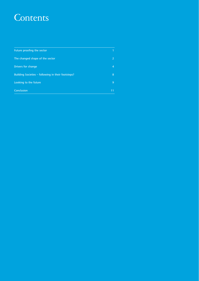# Contents

| Future proofing the sector                         |    |
|----------------------------------------------------|----|
| The changed shape of the sector                    |    |
| Drivers for change                                 | 4  |
| Building Societies - following in their footsteps? | 8  |
| Looking to the future                              | 9  |
| Conclusion                                         | 11 |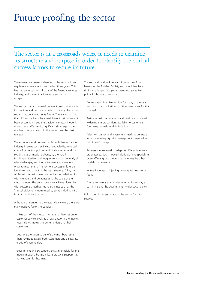# Future proofing the sector

### The sector is at a crossroads where it needs to examine its structure and purpose in order to identify the critical success factors to secure its future.

There have been seismic changes in the economic and regulatory environment over the last three years. This has had an impact on all parts of the financial services industry, and the mutual insurance sector has not escaped.

The sector is at a crossroads where it needs to examine its structure and purpose in order to identify the critical success factors to secure its future. There is no doubt that difficult decisions lie ahead. Recent history has not been encouraging and the traditional mutual model is under threat. We predict significant shrinkage in the number of organisations in the sector over the next ten years.

The economic environment has brought issues for the industry in areas such as investment volatility, reduced sales of protection policies and challenges around the IFA distribution model. Solvency II, the Retail Distribution Review and tougher regulation generally all raise challenges, and the sector needs to change in order to meet them. The key to a successful future is identifying and adopting the right strategy. A key part of this will be maintaining and enhancing relationships with members and demonstrating the value of the mutual model. The sector needs to achieve closer ties with customers, perhaps using schemes such as the 'mutual dividend' models used by some including NFU Mutual and Royal London.

Although challenges to the sector clearly exist, there are many positive factors to consider:

- A key part of the mutual message has been stronger customer service levels as a local and/or niche market focus allows mutuals to better understand their customers.
- Decisions are taken to benefit the members rather than having to satisfy both customers and a separate group of shareholders.
- Government and EU support exists in principle for the mutual model, albeit significant practical support has not yet been forthcoming.

The sector should look to learn from some of the lessons of the Building Society sector as it has faced similar challenges. Our paper draws out some key points for boards to consider.

- Consolidation is a likely option for many in the sector. How should organisations position themselves for this change?
- Partnering with other mutuals should be considered, widening the propositions available to customers. Too many mutuals work in isolation.
- Talent will be key and investment needs to be made in this area – high quality management is needed in this time of change.
- Business models need to adapt to differentiate from proprietaries. Such models include genuine specialism or an affinity group model but there may be other models that emerge.
- Innovative ways of injecting new capital need to be found.
- The sector needs to consider whether it can play a part in helping the government's wider social policy.

Bold action is necessary across the sector for it to succeed.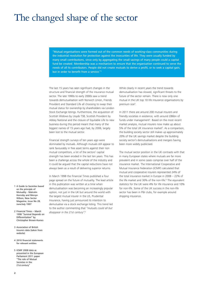# The changed shape of the sector

"Mutual organisations were formed out of the common needs of working-class communities during the industrial revolution for protection against the insecurities of life. They were usually funded by many small contributions, since only by aggregating the small savings of many people could a capital fund be created. Membership was a mechanism to ensure that the organisation continued to serve the needs of all its contributors. People did not create mutuals to derive a profit, or to seek a capital gain, but in order to benefit from a service."1

The last 15 years has seen significant changes in the structure and financial strength of the insurance mutual sector. The late 1990s to early 2000s saw a trend towards demutualisation with Norwich Union, Friends Provident and Standard Life all choosing to swap their mutual status for ownership by shareholders via London Stock Exchange listings. Furthermore, the acquisition of Scottish Widows by Lloyds TSB, Scottish Provident by Abbey National and the closure of Equitable Life to new business during this period meant that many of the biggest names of 15 years ago had, by 2006, largely been lost to the mutual sector.

Financial strength surveys of ten years ago were dominated by mutuals. Although mutuals still appear to rank favourably in free asset terms against their non mutual competitors, a lot of the sectors' capital strength has been eroded in the last ten years. This has been a challenge across the whole of the industry and it could be argued that the capital reductions have not always been as a result of delivering superior returns.

In March 1998 the Financial Times published a four page spread on the future of mutuality. The lead article in this publication was written at a time when demutualisation was becoming an increasingly popular option, not just in the UK but around the world with the largest mutual insurer in the US, Prudential Insurance, having just announced its intention to demutualise via a stock exchange listing. This trend led to the author commenting that *"mutuals could all but disappear in the 21st century".2*

While clearly in recent years the trend towards demutualisation has slowed, significant threats to the future of the sector remain. There is now only one mutual in the UK top 10 life insurance organisations by premium size<sup>3</sup>.

In 2011 there are around 200 mutual insurers and friendly societies in existence, with around £86bn of funds under management<sup>3</sup>. Based on the most recent market analysis, mutual insurers now make up about 5% of the total UK insurance market<sup>3</sup>. As a comparison, the building society sector still makes up approximately 20% of the UK savings market despite the building society sector's demutualisations and mergers having been more widely publicised.

The mutual sector position in the UK contrasts with that in many European states where mutuals are far more prevalent and in some cases comprise over half of the insurance market. The International Cooperative and Mutual Insurance Federation (ICMIF) calculated that mutual and cooperative insurers represented 24% of the total insurance market in Europe in 2008 – 22% of the life market and 30% of the non-life.<sup>5</sup> The equivalent statistics for the UK were 4% for life insurance and 10% for non-life. Some of the UK success in the non-life sector has been in P&I clubs, for example around shipping insurance.

- 1 A Guide to Societies based on the principle of Mutuality - Malcolm Hornsby and Mervyn Wilson, New Sector Magazine, Issue No 28, June/July 1997
- 2 Financial Times March 1998 "Survival Depends on Differentiation" by Christopher Brown-Humes
- 3 Association of British Insurers data (taken from website)
- 4 2010 financial statements for relevant entities
- 5 ICMIF 2008 data as presented in the European Parliament 2011 paper "The role of Mutual Societies in the 21st century"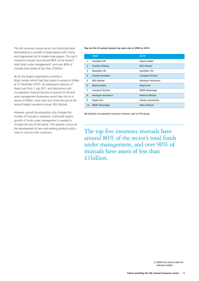The UK insurance mutual sector has historically been dominated by a number of large players with a long and fragmented tail of smaller scale players. The top 5 insurance mutuals have around 80% of the sector's total funds under management<sup>4</sup>, and over 90% of mutuals have assets of less than £1 billion<sup>4</sup>.

By far the largest organisation currently is Royal London which had total assets in excess of £34bn at 31 December 2010<sup>4</sup>. Its subsequent takeover of Royal Liver from 1 July 2011 and discussions with Co-operative Financial Services to acquire its life and asset management businesses would take this to in excess of £55bn, more than four times the size of the second largest insurance mutual, NFU Mutual.

However, growth by acquisition only changes the number of mutuals in existence. Continued organic growth of funds under management is needed to increase the size of the sector. This requires a focus on the development of new and existing products and a

#### **Top ten list of mutual insurers by asset size in 2000 vs 2010**

|                | 20006                    | 2010 <sup>4</sup>         |
|----------------|--------------------------|---------------------------|
| 1              | <b>Standard Life</b>     | Royal London              |
| 2              | <b>Scottish Widows</b>   | <b>NFU Mutual</b>         |
| 3              | Equitable Life           | Equitable Life            |
| $\overline{4}$ | <b>Friends Provident</b> | Liverpool Victoria        |
| 5              | <b>NFU Mutual</b>        | Wesleyan Assurance        |
| 6              | Royal London             | <b>Royal Liver</b>        |
| 7              | Liverpool Victoria       | <b>MGM Advantage</b>      |
| 8              | Wesleyan Assurance       | <b>Reliance Mutual</b>    |
| 9              | <b>Royal Liver</b>       | <b>Family Investments</b> |
| 10             | <b>MGM Advantage</b>     | <b>Police Mutual</b>      |

NB Excludes Co-operative Insurance Services, part of CFS group.

the development of new and existing products and a<br>need to connect with customers. The top five insurance mutuals have around 80% of the sector's total funds under management, and over 90% of mutuals have assets of less than £1billion.

> 6 2000 FSA returns data for relevant entities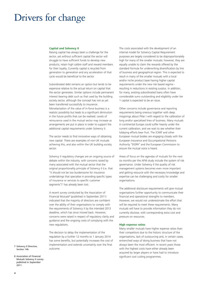## Drivers for change

#### **Capital and Solvency II**

Raising capital has always been a challenge for the sector, yet without sufficient capital the sector will struggle to have sufficient funds to develop new products, retain high calibre staff and reward members for their loyalty. Currently capital is recycled from generation to generation and any acceleration of that cycle would be beneficial to the sector.

Subordinated debt remains an option but tends to be expensive relative to the actual return on capital that the sector generates. Similar options include permanent interest bearing debt such as that used by the building society sector, although the concept has not as yet been transferred successfully to insurance. Monetarisation of the value of in-force business is a realistic possibility but leads to a significant diminution in the future profits that can be realised. Levels of reinsurance used in the mutual sector may increase as arrangements are put in place in order to support the additional capital requirements under Solvency II.

The sector needs to find innovative ways of obtaining new capital. There are examples of non-UK mutuals achieving this, and also within the UK building society sector.

Solvency II regulatory changes are an ongoing source of debate within the industry, with concerns raised by many associated with the mutual sector that the original proportionality principle of Solvency II (i.e. that "it should not be too burdensome for insurance undertakings that specialise in providing specific types of insurance or services to specific customer segments")<sup>7</sup> has already been lost.

A recent survey conducted by the Association of Financial Mutuals<sup>8</sup> (published in September 2011) indicated that the majority of directors are confident over the ability of their organisations to comply with the requirements of Solvency II by the intended 2013 deadline, which has since moved back. However, concerns were raised in respect of regulatory clarity and guidance and the ongoing costs of complying with the new regulations.

The decision to delay the implementation of the regulation by a further 12 months to 1 January 2014 has some benefits, but potentially increases the cost of implementation and extends uncertainty over the final outcome.

The costs associated with the development of an internal model for Solvency Capital Requirement purposes are largely considered to be disproportionately high for many of the smaller mutuals; however, they are equally unable to claim the rewards offered by the standard formula for underwriting diversification by line of business and geographical region. This is expected to result in many of the smaller mutuals with a local and/or niche product base having higher capital requirements under the new risk based regime resulting in reductions in existing surplus. In addition, for many, existing subordinated loans often have considerable sums outstanding and eligibility under tier 1 capital is expected to be an issue.

Other concerns include governance and reporting requirements being onerous together with deep misgivings about Pillar I with regard to the calibration of long and/or specialised lines of business. Many mutuals in continental Europe could suffer heavily under the current calibration, and we wait to see whether their lobbying efforts bear fruit. The ICMIF and other European mutual bodies are engaging closely with the European Insurance and Occumpational Pensions Authority "EIOPA" and the European Commission to ensure the mutual voice is heard.

Areas of focus on the agendas of mutuals for the next six months per the AFM study include the system of risk governance. Under Solvency II the quality of risk management systems becomes even more important and getting resource with the necessary knowledge and expertise can be challenging and costly for smaller organisations.

The additional disclosure requirements will give mutual organisations further opportunity to communicate their financial and operational strengths to members. However, we would not underestimate the effort that will be required to meet these requirements. Many mutuals will have to provide information they do not currently disclose, with corresponding extra cost and pressure on resources.

#### **High expense ratios**

Many smaller mutuals have higher expense ratios than their competitors due to the historic structure of the organisations, lack of outsourcing and, in certain cases, entrenched ways of doing business that have not always been the most efficient. In recent years those with the highest costs have either already been acquired by larger players or have had to introduce significant cost cutting programmes.

- 7 Solvency II Directive, Section 14b
- 8 Association of Financial Mutuals Solvency II survey published in September 2011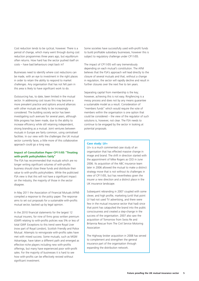Cost reduction tends to be cyclical, however. There is a period of change, which many went through during cost reduction programmes three years ago, but equilibrium often returns. How hard has the sector pushed itself on costs – have bad behaviours crept back in?

Businesses need to identify where cost reductions can be made, with an eye to investment in the right places in order to retain the ability to respond to market challenges. Any organisation that has not felt pain in this area is likely to have significant work to do.

Outsourcing has, to date, been limited in the mutual sector. In addressing cost issues this may become a more prevalent practice and options around alliances with other mutuals are likely to be increasingly considered. The building society sector has been investigating such avenues for several years, although little progress has been made, due to the ability to increase efficiency while still retaining independent, strong branding as a mutual. Joint ventures between mutuals in Europe are fairly common, using centralised facilities. In our view with the challenges the UK mutual sector currently faces, a little more of this collaborative approach could go a long way.

#### **Impact of Consultation Paper CP11/05 "Treating with-profit policyholders fairly"**

The FSA has recommended that mutuals which are no longer writing significant volumes of with-profits business should close these funds and distribute their value to with-profits policyholders. While the publicised FSA view is that this will not have a significant impact on the industry, the majority of those in the sector disagree.

In May 2011 the Association of Financial Mutuals (AFM) compiled a response to the policy paper. The response aims to set out proposals for a sustainable with-profits mutual sector, backed up by legal opinion.

In the 2010 financial statements for the largest 12 mutual insurers, for nine of firms gross written premium (GWP) relating to with-profits policies was 5% or less of total GWP. Exceptions to this trend were Royal Liver (now part of Royal London), Scottish Friendly and Police Mutual. Attempts to reinvigorate with-profits sales have met with mixed success. Some mutuals, such as MGM Advantage, have taken a different path and emerged as effective niche players including new with-profits offerings, but many have experienced poor with-profit sales. For the majority of businesses it is hard to see how with-profits can be effectively revived without significant investment.

Some societies have successfully used with-profit funds to build profitable subsidiary businesses, however this is subject to regulatory challenge under CP11/05.

The impact of CP11/05 will vary tremendously depending on each mutual's constitution. The AFM believes that the FSA's approach will lead directly to the closure of several mutuals and that, without a change in regulation, the sector will rapidly decline and result in further closures over the next five to ten years.

Separating capital from membership is the key; however, achieving this is not easy. Ringfencing is a messy process and does not by any means guarantee a sustainable model as a result. Consideration of "members funds" which would require the vote of members within the organisation is one option that could be considered – the view of the regulator of such solutions is, however, not clear. The FSA needs to continue to be engaged by the sector in looking at potential proposals.

#### **Case study: LV=**

LV= is a much commented case study of an organisation that has effected massive change in image and brand. The shift in direction started with the appointment of Mike Rogers as CEO in June 2006. Its acquisition of the ABC insurance team later in 2006 allowed the mutual to make a distinct strategy move that is not without its challenges in view of CP11/05, but has nevertheless given the insurer a new direction and a distinct place in the UK insurance landscape.

Subsequent rebranding in 2007 coupled with some clever, and high profile, marketing (until that point LV had not used TV advertising, and there were few in the mutual insurance sector that had) since that point has catapulted the brand into the public consciousness and created a step-change in the success of the organisation. 2007 also saw the acquisition of Tomorrow from Swiss Re and Britannia Rescue from The Civil Service Motoring Association

The Highway broker acquisition in 2008 has served to complement and strengthen the general insurance part of the organisation through expanding the distribution network.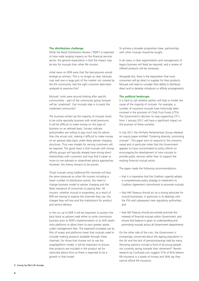#### **The distribution challenge**

While the Retail Distribution Review ("RDR") is expected to have wide ranging impacts on the financial services sector, the general expectation is that the impact may be less for mutuals than other life insurers.

Initial views on RDR were that the bancassurers would emerge as winners. This is no longer as clear. Mutuals may well own a large part of the market not covered by the IFA community. Has the right customer data been analysed to examine this?

Mutuals' roots were around looking after specific communities – part of the community going forward will be 'unadvised'. Can mutuals step in to assist the unadvised community?

The business written by the majority of mutuals tends to be niche speciality business with small premiums. It will be difficult to make money on this type of business on an advised basis. Surveys indicate policyholders are willing to pay much less for advice than the actual cost, making it difficult to make money on an advised sales basis under likely adviser charging structures. Thus new models for serving customers will be required. The good news is that mutuals with strong affinity groups will typically already have strong direct relationships with customers and may find it easier to move to non-advised or streamlined advice approaches. However, this theory remains to be proven.

Those mutuals using traditional IFA channels will face the same pressures as other life insurers including a lower number of distribution points, the need to change business model to adviser charging and the likely resistance of consumers to paying fees. All insurers, whether mutual or proprietary, as a result of RDR are having to explore the channels they use, the charges they will levy and the implications for product and service delivery.

In the run up to RDR it will be important to protect the back book as advisers seek either to write commission business prior to RDR's implementation or to shift assets onto platforms to allow them to earn greater assets under management fees. The expected increased use by IFAs of wraps and platforms mean that mutuals need to consider making products available through these channels. For those that choose not to use the wrap/platform model, it will be important to ensure that products are included in the product set for restricted advice firms as there is expected to be a growth in that model.

To achieve a broader proposition base, partnerships with other mutuals should be sought.

In all cases, a clear segmentation and management of legacy business will likely be required, and a review of offered products will be necessary.

Alongside this, there is the expectation that more consumers will go direct to supplier for their products. Mutuals will need to consider their ability to distribute direct and to develop introducer or affinity arrangements.

#### **The political landscape**

It is hard to call whether politics will help or hinder the cause of the majority of mutuals. For example, a number of insurance mutuals have historically been involved in the provision of Child Trust Funds (CTFs). The Government's decision to stop supporting CTF's from 1 January 2011 will have a significant impact on the business of these societies.

In July 2011 the All-Party Parliamentary Group released an inquiry paper entitled "Fostering diversity: promoting mutuals". This paper aims to respond to the concerns raised and in particular notes that the Government appears to have concentrated its policy efforts on encouraging the development of new mutuals to provide public services rather than to support the existing financial mutual sector.

The paper made the following recommendations:

- that it is imperative that the Coalition urgently adopts a comprehensive policy strategy to implement its Coalition Agreement commitment to promote mutuals;
- that HM Treasury should act as a strong advocate for mutual businesses, in particular in its dealings with the FSA and subsequent new regulatory authorities; and
- that HM Treasury should pro-actively promote the interests of financial mutuals within Government, and ensure that balance is given to understanding and promoting mutuals across all Government departments.

On the other side of the coin, the Government is increasingly concerned about the ageing population in the UK and the lack of pensions/savings held by many. Worrying statistics include a third of all young people not currently saving towards their retirement<sup>9</sup>. Recent research by Confused.com suggest 31% of Brits believe life insurance is a waste of money and 34% say they cannot afford life insurance.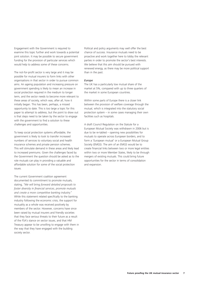Engagement with the Government is required to examine this topic further and work towards a potential joint solution. It may be possible to secure government funding for the provision of particular services which would help to address some of these concerns.

The not-for-profit sector is very large and it may be possible for mutual insurers to form links with other organisations in that sector in order to pursue common aims. An ageing population and increasing pressure on government spending is likely to mean an increase in social protection required in the medium to longer term, and the sector needs to become more relevant to these areas of society, which was, after all, how it initially began. This has been, perhaps, a missed opportunity to date. This is too large a topic for this paper to attempt to address, but the point to draw out is that steps need to be taken by the sector to engage with the government to find a solution to these challenges and opportunities.

To keep social protection systems affordable, the government is likely to look to transfer increased numbers of services to voluntary social and health insurance schemes and private pension schemes. This will stimulate demand in these areas and likely lead to increased premiums. Given the challenges faced by the Government the question should be asked as to the role mutuals can play in providing a valuable and affordable solution for some of the social protection issues.

The current Government coalition agreement documented its commitment to promote mutuals, stating, *"We will bring forward detailed proposals to foster diversity in financial services, promote mutuals and create a more competitive banking industry."* While this statement related specifically to the banking industry following the economic crisis, the support for mutuality as a whole was received positively by members of the sector. However, concerns have since been raised by mutual insurers and friendly societies that they face serious threats to their future as a result of the FSA's stance on sector issues, and that HM Treasury appear to be unwilling to engage with them in the way that they have engaged with the building society sector.

Political and policy arguments may well offer the best chance of success. Insurance mutuals need to be proactive and work together here to lobby the relevant parties in order to promote the sector's best interests. We believe that this aim should be pursued with renewed energy, as there may be more political support than in the past.

#### *Europe*

The UK has a particularly low mutual share of the market at 5%, compared with up to three quarters of the market in some European countries.

Within some parts of Europe there is a closer link between the provision of welfare coverage through the mutual, which is integrated into the statutory social protection system – in some cases managing their own facilities such as hospitals.

A draft Council Regulation on the Statute for a European Mutual Society was withdrawn in 2006 but is due to be re-tabled – opening new possibilities for mutuals to operate across European borders, and to form a 'European mutual' or a European Mutual Group Society (EMGS). The aim of an EMGS would be to create financial links between two or more legal entities within two or more Member States, likely to be through mergers of existing mutuals. This could bring future opportunities for the sector in terms of consolidation and expansion.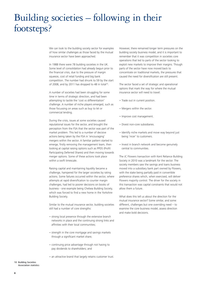# Building societies – following in their footsteps?

We can look to the building society sector for examples of how similar challenges as those faced by the mutual insurance sector have been approached.

In 1988 there were 78 building societies in the UK. Some level of consolidation had already begun prior to the financial crisis, due to the pressure of margin squeeze, cost of retail funding and big bank competition. The number had shrunk to 59 by the start of 2008, and by 2011 has dropped to 48 in total<sup>10</sup>.

A number of societies had been struggling for some time in terms of strategic direction, and had been attempting to tackle the 'cost vs differentiation' challenge. A number of niche players emerged, such as those focussing on areas such as buy to let or commercial lending.

During the crisis, issues at some societies caused reputational issues for the sector, and brought the perception from the FSA that the sector was part of the market problem. This led to a number of decisive actions being taken by the FSA in 'encouraging' mergers within the sector. A familiar pattern started to emerge, firstly removing the management team, then looking at capital raising options such as PPDS (Profit Participating Deferred Shares) and then moving towards merger options. Some of these actions took place within a swift timescale.

Raising capital and maintaining liquidity became a challenge, hampered for the larger societies by rating actions. Some failures occurred within the sector, where attempts at rapid diversification to counter margin challenges, had led to poorer decisions on books of business - one example being Chelsea Building Society, which was forced to find a new home in the Yorkshire Building Society.

Similar to the mutual insurance sector, building societies still had a number of core strengths:

- strong local presence through the extensive branch networks in place and the continuing strong links and affinities with their local communities;
- strength in the core mortgage and savings markets through a significant market share;
- continuing price advantage through not having to pay dividends to shareholders; and
- an attractive brand that largely retains customer trust.

However, there remained longer term pressures on the building society business model, and it is important to remember that it was competition in societies core operations that led to parts of the sector looking to exploit new markets to improve their margins. Though parts of the sector have now moved back to concentrate on traditional markets, the pressures that caused the need for diversification are still present.

The sector faced a set of strategic and operational options that mark the way for where the mutual insurance sector will need to travel:

- Trade out in current position.
- Mergers within the sector.
- Improve cost management.
- Divest non-core subsidiaries.
- Identify niche markets and move way beyond just being 'nicer' to customers.
- Invest in branch network and become genuinely central to communities.

The JC Flowers transaction with Kent Reliance Building Society in 2010 was a landmark for the sector. The society members saw the savings and loans business moved into a subsidiary bank part owned by Flowers, with the stake being partially paid in convertible preference shares which, when exercised, will deliver Flowers majority control. The driver for the society in this transaction was capital constraints that would not allow them a future.

What does this tell us about the direction for the mutual insurance sector? Some similar, and some different, challenges but one overriding need – to examine the core business model, assess direction and make bold decisions.

10 Building Societies Association statistics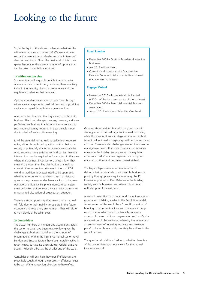# Looking to the future

So, in the light of the above challenges, what are the ultimate outcomes for the sector? We see a slimmer sector that needs to considerably reshape in terms of direction and focus. Given the likelihood of this more sparse landscape, there are a number of options that can be taken by individual mutuals:

#### **1) Wither on the vine**

Some mutuals will arguably be able to continue to operate in their current form; however, these are likely to be in the minority given past experience and the regulatory challenges that lie ahead.

Options around monetarisation of cash flows through reinsurance arrangements could help survival by providing capital now repaid through future premium flows.

Another option is around the ringfencing of with profits business. This is a challenging process, however, and even profitable new business that is bought in subsequent to such ringfencing may not result in a sustainable model due to a lack of early profits emerging.

It will be essential for mutuals to tackle high expense ratios, either through taking actions within their own society or potentially sharing activities across societies or outsourcing more activities to third parties. Member intervention may be required to force action in this area where management incentive to change is low. They must also protect their key distribution channels to maintain their access to customers in the post RDR world. In addition, processes need to be optimised, whether in response to regulations, such as risk and governance processes under Solvency II, or to improve operational efficiency. Peripheral non-core businesses must be looked at to ensure they are not a drain or an unwarranted distraction of organisation attention.

There is a strong possibility that many smaller mutuals will fold due to their inability to operate in the future economic and regulatory environment. They will either run-off slowly or be taken over.

#### **2) Consolidate**

The actual numbers of mergers and acquisitions across the sector to date have been relatively low given the challenges to business model and the number of organisations. Within the insurance mutual sector Royal London and Engage Mutual have been notably active in recent years, as have Reliance Mutual, Oddfellows and Scottish Friendly, albeit at the smaller end of the scale.

Consolidation will only help, however, if efficiencies are proactively sought through the process – efficiency needs to be part of the transaction objectives to have effect.

#### **Royal London**

- December 2008 Scottish Provident (Protection business).
- July 2011 Royal Liver.
- Currently in discussions with Co-operative Financial Services to take over its life and asset management businesses.

#### **Engage Mutual**

- November 2010 Ecclesiastical Life Limited (£270m of the long term assets of the business).
- December 2010 Provincial Hospital Services Association.
- August 2011 National Friendly's One Fund.

Growing via acquisition is a valid long term growth strategy at an individual organisation level; however, while this may work as a strategic option in the short term, it will not lead to organic growth for the sector as a whole. There are also challenges around the strain on management teams that such consolidation activities make  $-$  in the building society sector the regulator acted as a 'brake' to some organisations doing too many acquisitions and becoming overstretched.

The larger players have an option in terms of demutualisation via a sale to another life business or possibly through private equity input (e.g. the JC Flowers acquisition of Kent Reliance in the building society sector); however, we believe this to be an unlikely option for most firms.

A second possibility could be around the entrance of an external consolidator, similar to the Resolution model. An extension of this would be a 'run-off consolidator' bringing together mutual insurers to operate a group run-off model which would potentially outsource aspects of the run off to an organisation such as Capita. A scenario could be envisaged whereby the regulator, in an environment of requiring 'recovery and resolution plans' to be in place, could potentially be a driver in this sort of process.

The question should be asked as to whether there is a JC Flowers or Resolution equivalent for the mutual insurance sector?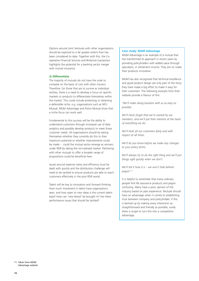Options around Joint Ventures with other organisations should be explored to a far greater extent than has been considered to date. Together with this, the Cooperative Financial Services and Britannia transaction highlights the potential for a banking sector merger with mutual insurance.

#### **3) Differentiate**

The majority of mutuals do not have the scale to compete on the basis of cost with other insurers. Therefore, for those that are to survive as individual entities, there is a need to develop a focus on specific markets or products to differentiate themselves within the market. This could include protecting or obtaining a defensible niche, e.g. organisations such as NFU Mutual, MGM Advantage and Police Mutual show that a niche focus can work well.

Fundamental to this success will be the ability to understand customers through increased use of data analytics and possibly develop products to meet those customer needs. All organisations should be asking themselves whether they currently do this to their maximum potential or whether improvements could be made – could the mutual sector emerge as winners under RDR by taking the non-advised market. Partnering with other mutuals to offer a broader range of propositions could be beneficial here.

Issues around expense ratios and efficiency must be dealt with quickly and the distribution challenge will need to be tackled to ensure products are able to reach customers effectively in the post RDR world.

Talent will be key to innovation and forward thinking. How much movement in talent have organisations seen, and how open to new ideas is the current talent base? How can 'new blood' be brought in? Are there performance issues that should be tackled?

#### **Case study: MGM Advantage**

MGM Advantage is an example of a mutual that has transformed its approach in recent years by providing policyholders with added value through specialism, in retirement income. They aim to make their products innovative.

MGM has also recognised that technical excellence and good product design are only part of the story; they have made a big effort to make it easy for their customers. The following excerpts from their website provide a flavour of this:

*"We'll make doing business with us as easy as possible.* 

*We'll never forget that we're owned by our members, and we'll put their interests at the heart of everything we do.* 

*We'll treat all our customers fairly and with respect at all times.* 

*We'll let you know before we make any changes to your policy terms.* 

*We'll always try to do the right thing and we'll put things right quickly when we don't.* 

*We'll tell it how it is – we won't hide behind jargon".11*

It is helpful to remember that many ordinary people find life assurance products and jargon confusing. Many have a poor opinion of the industry based on past experience. Mutuals should have an advantage when it comes to establishing trust between company and policyholder; if this is backed up by making every interaction as straightforward and friendly as possible, surely there is scope to turn this into a competitive advantage.

<sup>11</sup> Taken from MGM Advantage website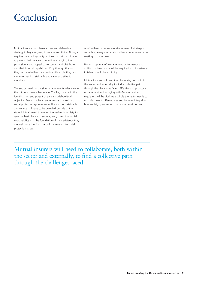# Conclusion

Mutual insurers must have a clear and defensible strategy if they are going to survive and thrive. Doing so requires developing clarity on their market participation approach, their relative competitive strengths, the propositions and appeal to customers and distributors, and their internal capabilities. Only through this can they decide whether they can identify a role they can move to that is sustainable and value accretive to members.

The sector needs to consider as a whole its relevance in the future insurance landscape. The key may be in the identification and pursuit of a clear social-political objective. Demographic change means that existing social protection systems are unlikely to be sustainable and service will have to be provided outside of the state. Mutuals need to embed themselves in society to give the best chance of survival, and, given that social responsibility is at the foundation of their existence they are well placed to form part of the solution to social protection issues.

A wide-thinking, non-defensive review of strategy is something every mutual should have undertaken or be seeking to undertake.

Honest appraisal of management performance and ability to drive change will be required, and investement in talent should be a priority.

Mutual insurers will need to collaborate, both within the sector and externally, to find a collective path through the challenges faced. Effective and proactive engagement and lobbying with Government and regulators will be vital. As a whole the sector needs to consider how it differentiates and become integral to how society operates in this changed environment

Mutual insurers will need to collaborate, both within the sector and externally, to find a collective path through the challenges faced.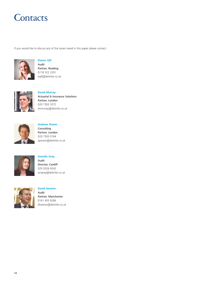# **Contacts**

If you would like to discuss any of the issues raised in this paper please contact:



**Elanor Gill** Audit Partner, Reading 0118 322 2201 egill@deloitte.co.uk



**David Murray** Actuarial & Insurance Solutions Partner, London 020 7303 3372 dxmurray@deloitte.co.uk



**Andrew Power** Consulting Partner, London 020 7303 0194 apower@deloitte.co.uk



**Annelie Grey** Audit Director, Cardiff 029 2026 4242 amgrey@deloitte.co.uk



**David Heaton** Audit Partner, Manchester 0161 455 6266 dheaton@deloitte.co.uk